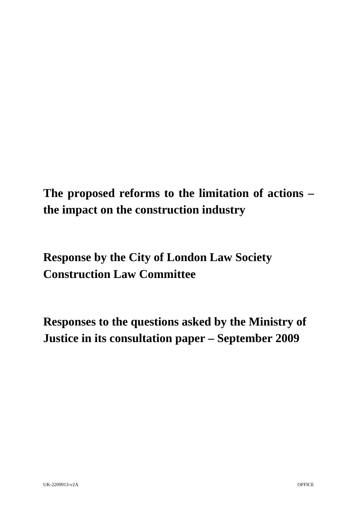**The proposed reforms to the limitation of actions – the impact on the construction industry** 

**Response by the City of London Law Society Construction Law Committee** 

**Responses to the questions asked by the Ministry of Justice in its consultation paper – September 2009**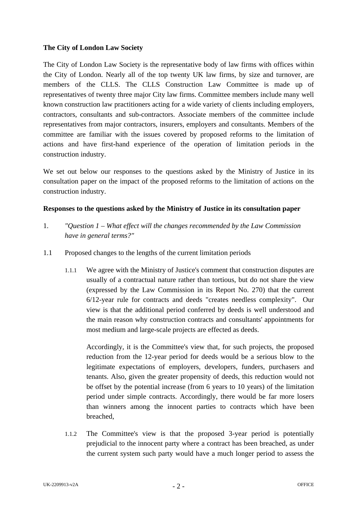### **The City of London Law Society**

The City of London Law Society is the representative body of law firms with offices within the City of London. Nearly all of the top twenty UK law firms, by size and turnover, are members of the CLLS. The CLLS Construction Law Committee is made up of representatives of twenty three major City law firms. Committee members include many well known construction law practitioners acting for a wide variety of clients including employers, contractors, consultants and sub-contractors. Associate members of the committee include representatives from major contractors, insurers, employers and consultants. Members of the committee are familiar with the issues covered by proposed reforms to the limitation of actions and have first-hand experience of the operation of limitation periods in the construction industry.

We set out below our responses to the questions asked by the Ministry of Justice in its consultation paper on the impact of the proposed reforms to the limitation of actions on the construction industry.

### **Responses to the questions asked by the Ministry of Justice in its consultation paper**

- 1. *"Question 1 What effect will the changes recommended by the Law Commission have in general terms?"*
- 1.1 Proposed changes to the lengths of the current limitation periods
	- 1.1.1 We agree with the Ministry of Justice's comment that construction disputes are usually of a contractual nature rather than tortious, but do not share the view (expressed by the Law Commission in its Report No. 270) that the current 6/12-year rule for contracts and deeds "creates needless complexity". Our view is that the additional period conferred by deeds is well understood and the main reason why construction contracts and consultants' appointments for most medium and large-scale projects are effected as deeds.

Accordingly, it is the Committee's view that, for such projects, the proposed reduction from the 12-year period for deeds would be a serious blow to the legitimate expectations of employers, developers, funders, purchasers and tenants. Also, given the greater propensity of deeds, this reduction would not be offset by the potential increase (from 6 years to 10 years) of the limitation period under simple contracts. Accordingly, there would be far more losers than winners among the innocent parties to contracts which have been breached,

1.1.2 The Committee's view is that the proposed 3-year period is potentially prejudicial to the innocent party where a contract has been breached, as under the current system such party would have a much longer period to assess the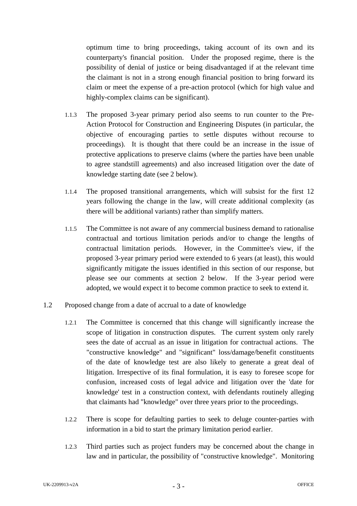optimum time to bring proceedings, taking account of its own and its counterparty's financial position. Under the proposed regime, there is the possibility of denial of justice or being disadvantaged if at the relevant time the claimant is not in a strong enough financial position to bring forward its claim or meet the expense of a pre-action protocol (which for high value and highly-complex claims can be significant).

- 1.1.3 The proposed 3-year primary period also seems to run counter to the Pre-Action Protocol for Construction and Engineering Disputes (in particular, the objective of encouraging parties to settle disputes without recourse to proceedings). It is thought that there could be an increase in the issue of protective applications to preserve claims (where the parties have been unable to agree standstill agreements) and also increased litigation over the date of knowledge starting date (see 2 below).
- 1.1.4 The proposed transitional arrangements, which will subsist for the first 12 years following the change in the law, will create additional complexity (as there will be additional variants) rather than simplify matters.
- 1.1.5 The Committee is not aware of any commercial business demand to rationalise contractual and tortious limitation periods and/or to change the lengths of contractual limitation periods. However, in the Committee's view, if the proposed 3-year primary period were extended to 6 years (at least), this would significantly mitigate the issues identified in this section of our response, but please see our comments at section 2 below. If the 3-year period were adopted, we would expect it to become common practice to seek to extend it.
- 1.2 Proposed change from a date of accrual to a date of knowledge
	- 1.2.1 The Committee is concerned that this change will significantly increase the scope of litigation in construction disputes. The current system only rarely sees the date of accrual as an issue in litigation for contractual actions. The "constructive knowledge" and "significant" loss/damage/benefit constituents of the date of knowledge test are also likely to generate a great deal of litigation. Irrespective of its final formulation, it is easy to foresee scope for confusion, increased costs of legal advice and litigation over the 'date for knowledge' test in a construction context, with defendants routinely alleging that claimants had "knowledge" over three years prior to the proceedings.
	- 1.2.2 There is scope for defaulting parties to seek to deluge counter-parties with information in a bid to start the primary limitation period earlier.
	- 1.2.3 Third parties such as project funders may be concerned about the change in law and in particular, the possibility of "constructive knowledge". Monitoring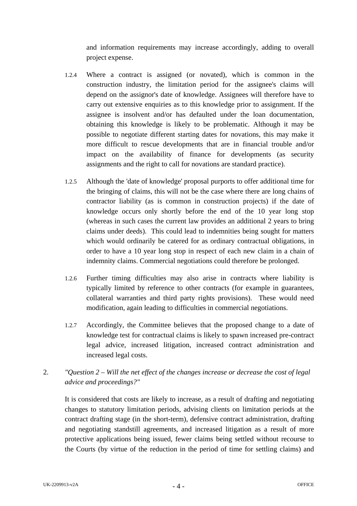and information requirements may increase accordingly, adding to overall project expense.

- 1.2.4 Where a contract is assigned (or novated), which is common in the construction industry, the limitation period for the assignee's claims will depend on the assignor's date of knowledge. Assignees will therefore have to carry out extensive enquiries as to this knowledge prior to assignment. If the assignee is insolvent and/or has defaulted under the loan documentation, obtaining this knowledge is likely to be problematic. Although it may be possible to negotiate different starting dates for novations, this may make it more difficult to rescue developments that are in financial trouble and/or impact on the availability of finance for developments (as security assignments and the right to call for novations are standard practice).
- 1.2.5 Although the 'date of knowledge' proposal purports to offer additional time for the bringing of claims, this will not be the case where there are long chains of contractor liability (as is common in construction projects) if the date of knowledge occurs only shortly before the end of the 10 year long stop (whereas in such cases the current law provides an additional 2 years to bring claims under deeds). This could lead to indemnities being sought for matters which would ordinarily be catered for as ordinary contractual obligations, in order to have a 10 year long stop in respect of each new claim in a chain of indemnity claims. Commercial negotiations could therefore be prolonged.
- 1.2.6 Further timing difficulties may also arise in contracts where liability is typically limited by reference to other contracts (for example in guarantees, collateral warranties and third party rights provisions). These would need modification, again leading to difficulties in commercial negotiations.
- 1.2.7 Accordingly, the Committee believes that the proposed change to a date of knowledge test for contractual claims is likely to spawn increased pre-contract legal advice, increased litigation, increased contract administration and increased legal costs.

# 2. *"Question 2 – Will the net effect of the changes increase or decrease the cost of legal advice and proceedings?"*

It is considered that costs are likely to increase, as a result of drafting and negotiating changes to statutory limitation periods, advising clients on limitation periods at the contract drafting stage (in the short-term), defensive contract administration, drafting and negotiating standstill agreements, and increased litigation as a result of more protective applications being issued, fewer claims being settled without recourse to the Courts (by virtue of the reduction in the period of time for settling claims) and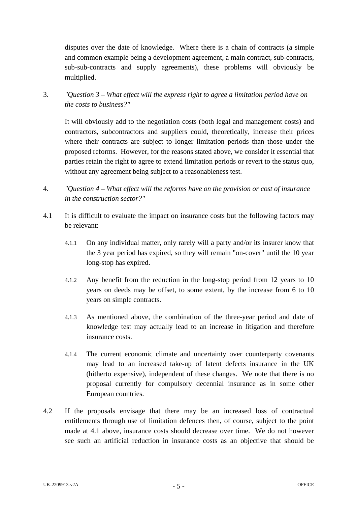disputes over the date of knowledge. Where there is a chain of contracts (a simple and common example being a development agreement, a main contract, sub-contracts, sub-sub-contracts and supply agreements), these problems will obviously be multiplied.

3. *"Question 3 – What effect will the express right to agree a limitation period have on the costs to business?"* 

It will obviously add to the negotiation costs (both legal and management costs) and contractors, subcontractors and suppliers could, theoretically, increase their prices where their contracts are subject to longer limitation periods than those under the proposed reforms. However, for the reasons stated above, we consider it essential that parties retain the right to agree to extend limitation periods or revert to the status quo, without any agreement being subject to a reasonableness test.

- 4. *"Question 4 What effect will the reforms have on the provision or cost of insurance in the construction sector?"*
- 4.1 It is difficult to evaluate the impact on insurance costs but the following factors may be relevant:
	- 4.1.1 On any individual matter, only rarely will a party and/or its insurer know that the 3 year period has expired, so they will remain "on-cover" until the 10 year long-stop has expired.
	- 4.1.2 Any benefit from the reduction in the long-stop period from 12 years to 10 years on deeds may be offset, to some extent, by the increase from 6 to 10 years on simple contracts.
	- 4.1.3 As mentioned above, the combination of the three-year period and date of knowledge test may actually lead to an increase in litigation and therefore insurance costs.
	- 4.1.4 The current economic climate and uncertainty over counterparty covenants may lead to an increased take-up of latent defects insurance in the UK (hitherto expensive), independent of these changes. We note that there is no proposal currently for compulsory decennial insurance as in some other European countries.
- 4.2 If the proposals envisage that there may be an increased loss of contractual entitlements through use of limitation defences then, of course, subject to the point made at 4.1 above, insurance costs should decrease over time. We do not however see such an artificial reduction in insurance costs as an objective that should be